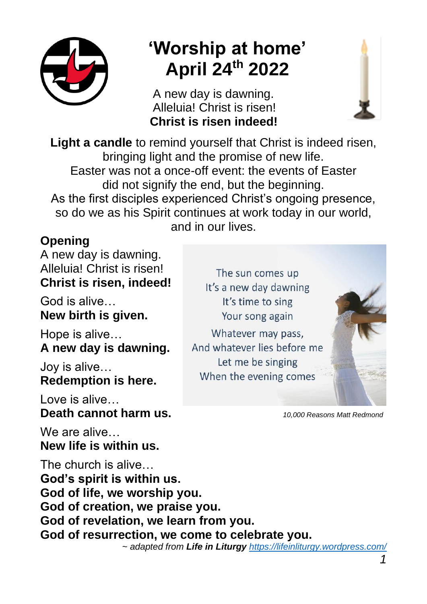

# **'Worship at home' April 24th 2022**

A new day is dawning. Alleluia! Christ is risen! **Christ is risen indeed!**



**Light a candle** to remind yourself that Christ is indeed risen, bringing light and the promise of new life. Easter was not a once-off event: the events of Easter did not signify the end, but the beginning. As the first disciples experienced Christ's ongoing presence, so do we as his Spirit continues at work today in our world, and in our lives.

## **Opening**

A new day is dawning. Alleluia! Christ is risen! **Christ is risen, indeed!**

God is alive… **New birth is given.**

Hope is alive… **A new day is dawning.**

Joy is alive… **Redemption is here.**

Love is alive… **Death cannot harm us.** *10,000 Reasons Matt Redmond* 

We are alive… **New life is within us.**

The sun comes up It's a new day dawning It's time to sing Your song again Whatever may pass. And whatever lies before me Let me be singing

When the evening comes

The church is alive $\blacksquare$ **God's spirit is within us. God of life, we worship you. God of creation, we praise you. God of revelation, we learn from you. God of resurrection, we come to celebrate you.** *~ adapted from Life in Liturgy <https://lifeinliturgy.wordpress.com/>*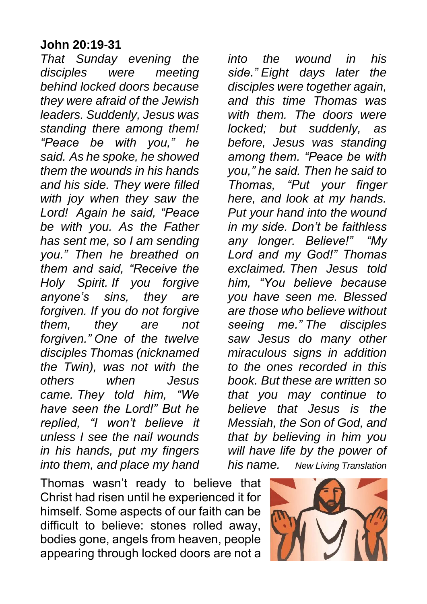#### **John 20:19-31**

*That Sunday evening the disciples were meeting behind locked doors because they were afraid of the Jewish leaders. Suddenly, Jesus was standing there among them! "Peace be with you," he said. As he spoke, he showed them the wounds in his hands and his side. They were filled with joy when they saw the Lord! Again he said, "Peace be with you. As the Father has sent me, so I am sending you." Then he breathed on them and said, "Receive the Holy Spirit. If you forgive anyone's sins, they are forgiven. If you do not forgive them, they are not forgiven." One of the twelve disciples Thomas (nicknamed the Twin), was not with the others when Jesus came. They told him, "We have seen the Lord!" But he replied, "I won't believe it unless I see the nail wounds in his hands, put my fingers into them, and place my hand* 

Thomas wasn't ready to believe that Christ had risen until he experienced it for himself. Some aspects of our faith can be difficult to believe: stones rolled away, bodies gone, angels from heaven, people appearing through locked doors are not a

*into the wound in his side." Eight days later the disciples were together again, and this time Thomas was with them. The doors were locked; but suddenly, as before, Jesus was standing among them. "Peace be with you," he said. Then he said to Thomas, "Put your finger here, and look at my hands. Put your hand into the wound in my side. Don't be faithless any longer. Believe!" "My Lord and my God!" Thomas exclaimed. Then Jesus told him, "You believe because you have seen me. Blessed are those who believe without seeing me." The disciples saw Jesus do many other miraculous signs in addition to the ones recorded in this book. But these are written so that you may continue to believe that Jesus is the Messiah, the Son of God, and that by believing in him you will have life by the power of his name. New Living Translation*

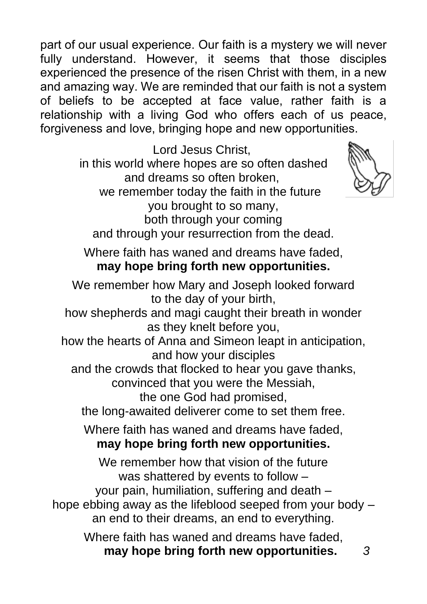part of our usual experience. Our faith is a mystery we will never fully understand. However, it seems that those disciples experienced the presence of the risen Christ with them, in a new and amazing way. We are reminded that our faith is not a system of beliefs to be accepted at face value, rather faith is a relationship with a living God who offers each of us peace, forgiveness and love, bringing hope and new opportunities.

 Lord Jesus Christ, in this world where hopes are so often dashed and dreams so often broken, we remember today the faith in the future you brought to so many, both through your coming and through your resurrection from the dead. Where faith has waned and dreams have faded, **may hope bring forth new opportunities.** We remember how Mary and Joseph looked forward to the day of your birth, how shepherds and magi caught their breath in wonder as they knelt before you, how the hearts of Anna and Simeon leapt in anticipation, and how your disciples and the crowds that flocked to hear you gave thanks, convinced that you were the Messiah, the one God had promised, the long-awaited deliverer come to set them free. Where faith has waned and dreams have faded, **may hope bring forth new opportunities.** We remember how that vision of the future was shattered by events to follow – your pain, humiliation, suffering and death – hope ebbing away as the lifeblood seeped from your body – an end to their dreams, an end to everything.

Where faith has waned and dreams have faded,  **may hope bring forth new opportunities.** *3*